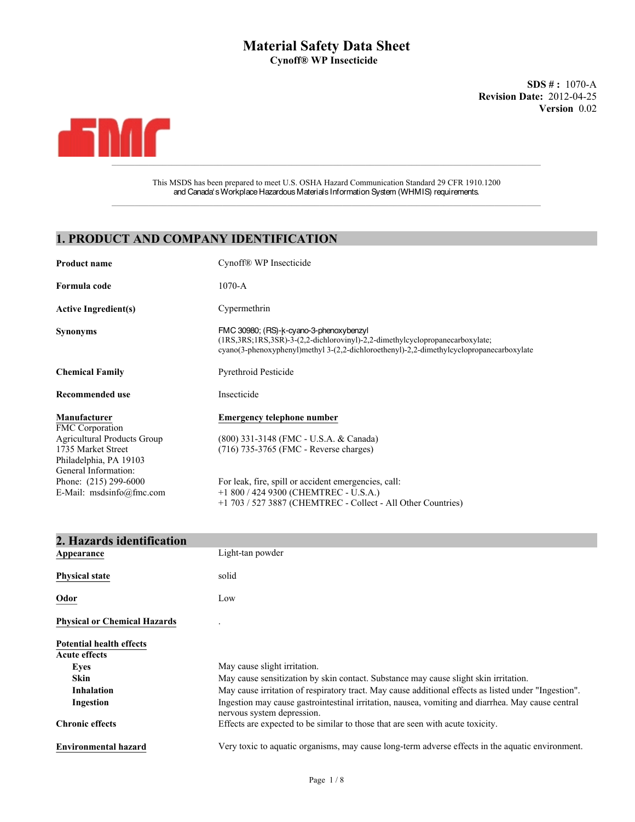## **Material Safety Data Sheet Cynoff® WP Insecticide**

**Revision Date:** 2012-04-25 **Version** 0.02 **SDS # :** 1070-A



This MSDS has been prepared to meet U.S. OSHA Hazard Communication Standard 29 CFR 1910.1200 and Canada's Workplace Hazardous Materials Information System (WHMIS) requirements.  $\mathcal{L}_\mathcal{L} = \mathcal{L}_\mathcal{L} = \mathcal{L}_\mathcal{L} = \mathcal{L}_\mathcal{L} = \mathcal{L}_\mathcal{L} = \mathcal{L}_\mathcal{L} = \mathcal{L}_\mathcal{L} = \mathcal{L}_\mathcal{L} = \mathcal{L}_\mathcal{L} = \mathcal{L}_\mathcal{L} = \mathcal{L}_\mathcal{L} = \mathcal{L}_\mathcal{L} = \mathcal{L}_\mathcal{L} = \mathcal{L}_\mathcal{L} = \mathcal{L}_\mathcal{L} = \mathcal{L}_\mathcal{L} = \mathcal{L}_\mathcal{L}$ 

## **1. PRODUCT AND COMPANY IDENTIFICATION**

| Cynoff <sup>®</sup> WP Insecticide                                                                                                                                                                                                                                                     |
|----------------------------------------------------------------------------------------------------------------------------------------------------------------------------------------------------------------------------------------------------------------------------------------|
| $1070-A$                                                                                                                                                                                                                                                                               |
| Cypermethrin                                                                                                                                                                                                                                                                           |
| FMC 30980; (RS)-k-cyano-3-phenoxybenzyl<br>$(1RS, 3RS, 1RS, 3SR)$ -3- $(2,2$ -dichlorovinyl)-2,2-dimethylcyclopropanecarboxylate;<br>cyano(3-phenoxyphenyl)methyl 3-(2,2-dichloroethenyl)-2,2-dimethylcyclopropanecarboxylate                                                          |
| <b>Pyrethroid Pesticide</b>                                                                                                                                                                                                                                                            |
| Insecticide                                                                                                                                                                                                                                                                            |
| <b>Emergency telephone number</b><br>(800) 331-3148 (FMC - U.S.A. & Canada)<br>(716) 735-3765 (FMC - Reverse charges)<br>For leak, fire, spill or accident emergencies, call:<br>+1 800 / 424 9300 (CHEMTREC - U.S.A.)<br>+1 703 / 527 3887 (CHEMTREC - Collect - All Other Countries) |
|                                                                                                                                                                                                                                                                                        |

| 2. Hazards identification                               |                                                                                                                                 |
|---------------------------------------------------------|---------------------------------------------------------------------------------------------------------------------------------|
| Appearance                                              | Light-tan powder                                                                                                                |
| <b>Physical state</b>                                   | solid                                                                                                                           |
| Odor                                                    | Low                                                                                                                             |
| <b>Physical or Chemical Hazards</b>                     |                                                                                                                                 |
| <b>Potential health effects</b><br><b>Acute effects</b> |                                                                                                                                 |
| Eves                                                    | May cause slight irritation.                                                                                                    |
| <b>Skin</b>                                             | May cause sensitization by skin contact. Substance may cause slight skin irritation.                                            |
| <b>Inhalation</b>                                       | May cause irritation of respiratory tract. May cause additional effects as listed under "Ingestion".                            |
| Ingestion                                               | Ingestion may cause gastrointestinal irritation, nausea, vomiting and diarrhea. May cause central<br>nervous system depression. |
| <b>Chronic effects</b>                                  | Effects are expected to be similar to those that are seen with acute toxicity.                                                  |
| <b>Environmental hazard</b>                             | Very toxic to aquatic organisms, may cause long-term adverse effects in the aquatic environment.                                |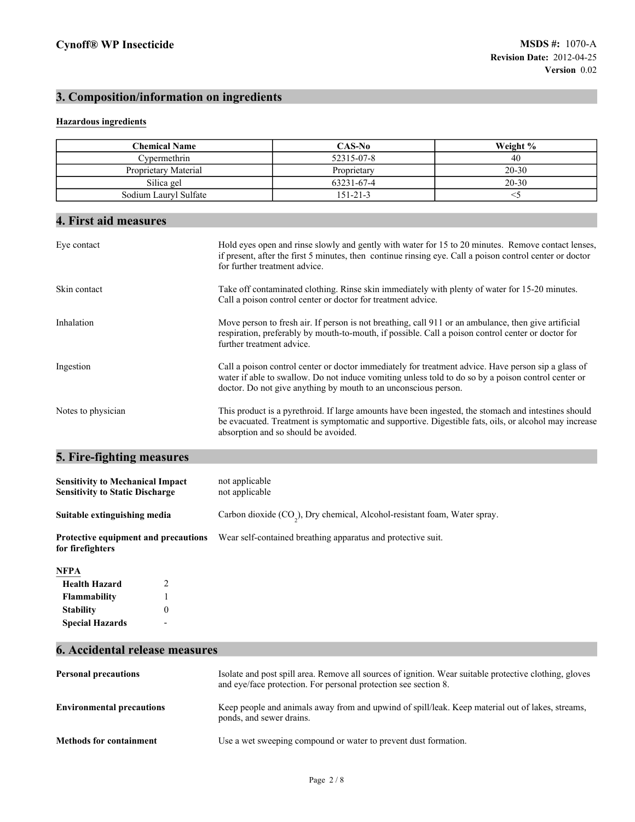# **3. Composition/information on ingredients**

## **Hazardous ingredients**

| <b>Chemical Name</b>                                                              |                                  | CAS-No                                                                                                                                                                                                                                                                        | Weight % |
|-----------------------------------------------------------------------------------|----------------------------------|-------------------------------------------------------------------------------------------------------------------------------------------------------------------------------------------------------------------------------------------------------------------------------|----------|
| Cypermethrin                                                                      | 52315-07-8<br>40                 |                                                                                                                                                                                                                                                                               |          |
| Proprietary Material                                                              | $20 - 30$<br>Proprietary         |                                                                                                                                                                                                                                                                               |          |
| Silica gel                                                                        | 63231-67-4<br>$20 - 30$          |                                                                                                                                                                                                                                                                               |          |
| Sodium Lauryl Sulfate                                                             |                                  | $151 - 21 - 3$                                                                                                                                                                                                                                                                | $<$ 5    |
|                                                                                   |                                  |                                                                                                                                                                                                                                                                               |          |
| 4. First aid measures                                                             |                                  |                                                                                                                                                                                                                                                                               |          |
| Eye contact                                                                       | for further treatment advice.    | Hold eyes open and rinse slowly and gently with water for 15 to 20 minutes. Remove contact lenses,<br>if present, after the first 5 minutes, then continue rinsing eye. Call a poison control center or doctor                                                                |          |
| Skin contact                                                                      |                                  | Take off contaminated clothing. Rinse skin immediately with plenty of water for 15-20 minutes.<br>Call a poison control center or doctor for treatment advice.                                                                                                                |          |
| Inhalation                                                                        | further treatment advice.        | Move person to fresh air. If person is not breathing, call 911 or an ambulance, then give artificial<br>respiration, preferably by mouth-to-mouth, if possible. Call a poison control center or doctor for                                                                    |          |
| Ingestion                                                                         |                                  | Call a poison control center or doctor immediately for treatment advice. Have person sip a glass of<br>water if able to swallow. Do not induce vomiting unless told to do so by a poison control center or<br>doctor. Do not give anything by mouth to an unconscious person. |          |
| Notes to physician                                                                |                                  | This product is a pyrethroid. If large amounts have been ingested, the stomach and intestines should<br>be evacuated. Treatment is symptomatic and supportive. Digestible fats, oils, or alcohol may increase<br>absorption and so should be avoided.                         |          |
| 5. Fire-fighting measures                                                         |                                  |                                                                                                                                                                                                                                                                               |          |
| <b>Sensitivity to Mechanical Impact</b><br><b>Sensitivity to Static Discharge</b> | not applicable<br>not applicable |                                                                                                                                                                                                                                                                               |          |
| Suitable extinguishing media                                                      |                                  | Carbon dioxide (CO <sub>2</sub> ), Dry chemical, Alcohol-resistant foam, Water spray.                                                                                                                                                                                         |          |
| <b>Protective equipment and precautions</b><br>for firefighters                   |                                  | Wear self-contained breathing apparatus and protective suit.                                                                                                                                                                                                                  |          |
| NFPA                                                                              |                                  |                                                                                                                                                                                                                                                                               |          |
| <b>Health Hazard</b><br>2                                                         |                                  |                                                                                                                                                                                                                                                                               |          |
| 1<br>Flammability                                                                 |                                  |                                                                                                                                                                                                                                                                               |          |
| $\overline{0}$<br><b>Stability</b>                                                |                                  |                                                                                                                                                                                                                                                                               |          |
| <b>Special Hazards</b>                                                            |                                  |                                                                                                                                                                                                                                                                               |          |
| 6. Accidental release measures                                                    |                                  |                                                                                                                                                                                                                                                                               |          |

| <b>Personal precautions</b>      | Isolate and post spill area. Remove all sources of ignition. Wear suitable protective clothing, gloves<br>and eye/face protection. For personal protection see section 8. |
|----------------------------------|---------------------------------------------------------------------------------------------------------------------------------------------------------------------------|
| <b>Environmental precautions</b> | Keep people and animals away from and upwind of spill/leak. Keep material out of lakes, streams,<br>ponds, and sewer drains.                                              |
| <b>Methods for containment</b>   | Use a wet sweeping compound or water to prevent dust formation.                                                                                                           |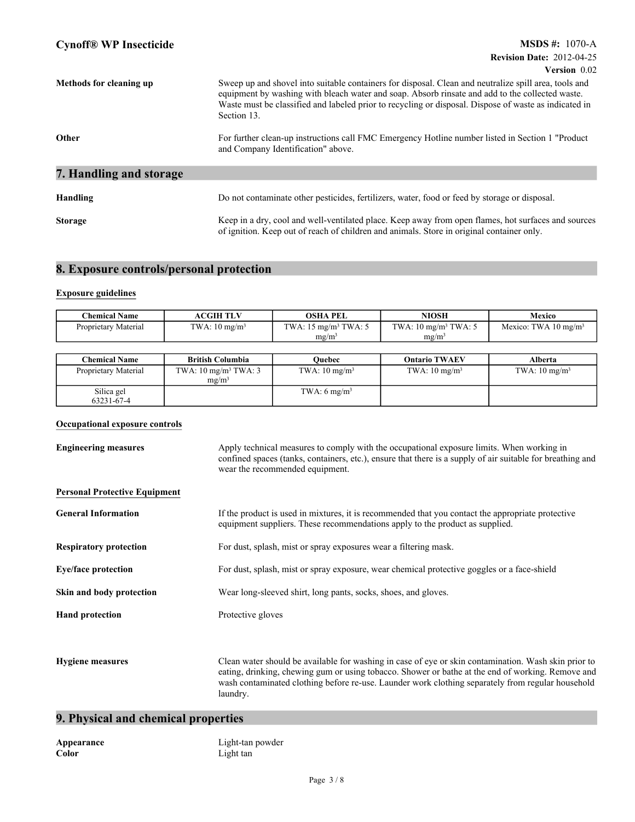|                         | $VU3UII$ $U.UZ$                                                                                                                                                                                                                                                                                                                  |
|-------------------------|----------------------------------------------------------------------------------------------------------------------------------------------------------------------------------------------------------------------------------------------------------------------------------------------------------------------------------|
| Methods for cleaning up | Sweep up and shovel into suitable containers for disposal. Clean and neutralize spill area, tools and<br>equipment by washing with bleach water and soap. Absorb rinsate and add to the collected waste.<br>Waste must be classified and labeled prior to recycling or disposal. Dispose of waste as indicated in<br>Section 13. |
| Other                   | For further clean-up instructions call FMC Emergency Hotline number listed in Section 1 "Product<br>and Company Identification" above.                                                                                                                                                                                           |
| 7. Handling and storage |                                                                                                                                                                                                                                                                                                                                  |
|                         |                                                                                                                                                                                                                                                                                                                                  |
| Handling                | Do not contaminate other pesticides, fertilizers, water, food or feed by storage or disposal.                                                                                                                                                                                                                                    |
| <b>Storage</b>          | Keep in a dry, cool and well-ventilated place. Keep away from open flames, hot surfaces and sources<br>of ignition. Keep out of reach of children and animals. Store in original container only.                                                                                                                                 |

## **8. Exposure controls/personal protection**

## **Exposure guidelines**

| <b>Chemical Name</b> | <b>ACGIH TLV</b>         | OSHA PEL                                         | NIOSH                             | Mexico                          |
|----------------------|--------------------------|--------------------------------------------------|-----------------------------------|---------------------------------|
| Proprietary Material | TWA: $10 \text{ mg/m}^3$ | TWA: $15 \text{ me/m}^3$ TWA: $5 \text{ me/m}^3$ | TWA: $10 \text{ mg/m}^3$ TWA: $5$ | Mexico: TWA $10 \text{ mg/m}^3$ |
|                      |                          | mg/m <sup>3</sup>                                | $mg/m^2$                          |                                 |

| <b>Chemical Name</b>     | <b>British Columbia</b>                              | Ouebec                   | <b>Ontario TWAEV</b>     | Alberta                  |
|--------------------------|------------------------------------------------------|--------------------------|--------------------------|--------------------------|
| Proprietary Material     | TWA: $10 \text{ mg/m}^3$ TWA: 3<br>mg/m <sup>3</sup> | TWA: $10 \text{ mg/m}^3$ | TWA: $10 \text{ mg/m}^3$ | TWA: $10 \text{ mg/m}^3$ |
| Silica gel<br>63231-67-4 |                                                      | TWA: $6 \text{ mg/m}^3$  |                          |                          |

## **Occupational exposure controls**

| <b>Engineering measures</b>          | Apply technical measures to comply with the occupational exposure limits. When working in<br>confined spaces (tanks, containers, etc.), ensure that there is a supply of air suitable for breathing and<br>wear the recommended equipment.                                                                                 |  |
|--------------------------------------|----------------------------------------------------------------------------------------------------------------------------------------------------------------------------------------------------------------------------------------------------------------------------------------------------------------------------|--|
| <b>Personal Protective Equipment</b> |                                                                                                                                                                                                                                                                                                                            |  |
| <b>General Information</b>           | If the product is used in mixtures, it is recommended that you contact the appropriate protective<br>equipment suppliers. These recommendations apply to the product as supplied.                                                                                                                                          |  |
| <b>Respiratory protection</b>        | For dust, splash, mist or spray exposures wear a filtering mask.                                                                                                                                                                                                                                                           |  |
| <b>Eye/face protection</b>           | For dust, splash, mist or spray exposure, wear chemical protective goggles or a face-shield                                                                                                                                                                                                                                |  |
| Skin and body protection             | Wear long-sleeved shirt, long pants, socks, shoes, and gloves.                                                                                                                                                                                                                                                             |  |
| <b>Hand protection</b>               | Protective gloves                                                                                                                                                                                                                                                                                                          |  |
|                                      |                                                                                                                                                                                                                                                                                                                            |  |
| <b>Hygiene measures</b>              | Clean water should be available for washing in case of eye or skin contamination. Wash skin prior to<br>eating, drinking, chewing gum or using tobacco. Shower or bathe at the end of working. Remove and<br>wash contaminated clothing before re-use. Launder work clothing separately from regular household<br>laundry. |  |

## **9. Physical and chemical properties**

| Appearance |  |
|------------|--|
| Color      |  |

Light-tan powder Light tan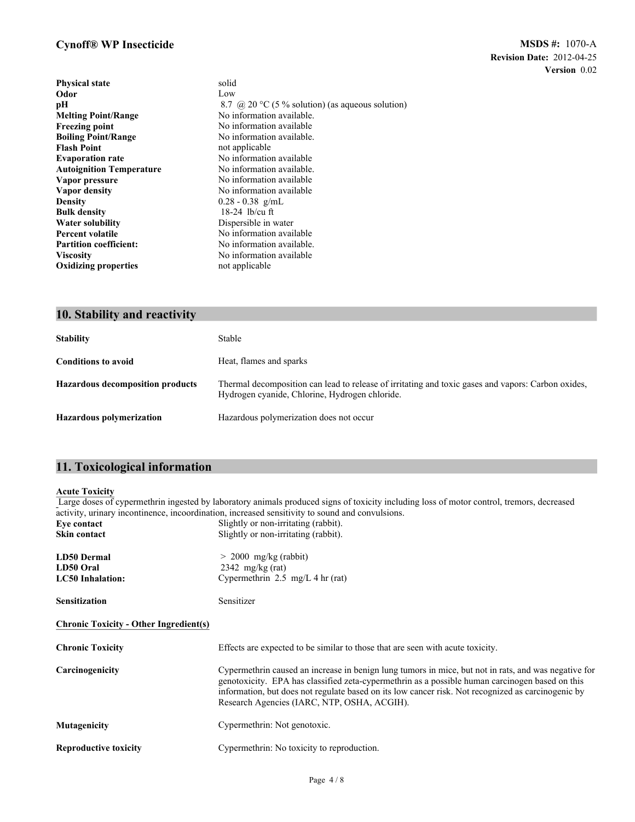## **Cynoff® WP Insecticide**

| <b>Physical state</b>           | solid                                            |
|---------------------------------|--------------------------------------------------|
| Odor                            | Low                                              |
| pН                              | 8.7 @ 20 °C (5 % solution) (as aqueous solution) |
| <b>Melting Point/Range</b>      | No information available.                        |
| <b>Freezing point</b>           | No information available                         |
| <b>Boiling Point/Range</b>      | No information available.                        |
| <b>Flash Point</b>              | not applicable                                   |
| <b>Evaporation rate</b>         | No information available                         |
| <b>Autoignition Temperature</b> | No information available.                        |
| Vapor pressure                  | No information available                         |
| Vapor density                   | No information available                         |
| <b>Density</b>                  | $0.28 - 0.38$ g/mL                               |
| <b>Bulk density</b>             | $18-24$ lb/cu ft                                 |
| <b>Water solubility</b>         | Dispersible in water                             |
| <b>Percent volatile</b>         | No information available                         |
| <b>Partition coefficient:</b>   | No information available.                        |
| <b>Viscosity</b>                | No information available                         |
| <b>Oxidizing properties</b>     | not applicable                                   |
|                                 |                                                  |

## **10. Stability and reactivity**

| <b>Stability</b>                        | Stable                                                                                                                                               |
|-----------------------------------------|------------------------------------------------------------------------------------------------------------------------------------------------------|
| <b>Conditions to avoid</b>              | Heat, flames and sparks                                                                                                                              |
| <b>Hazardous decomposition products</b> | Thermal decomposition can lead to release of irritating and toxic gases and vapors: Carbon oxides,<br>Hydrogen cyanide, Chlorine, Hydrogen chloride. |
| <b>Hazardous polymerization</b>         | Hazardous polymerization does not occur                                                                                                              |

# **11. Toxicological information**

## **Acute Toxicity**

Large doses of cypermethrin ingested by laboratory animals produced signs of toxicity including loss of motor control, tremors, decreased activity, urinary incontinence, incoordination, increased sensitivity to sound and convulsions. **Eye contact** Slightly or non-irritating (rabbit).

| Skin contact                                               | Slightly or non-irritating (rabbit).                                                                                                                                                                                                                                                                                                                         |  |
|------------------------------------------------------------|--------------------------------------------------------------------------------------------------------------------------------------------------------------------------------------------------------------------------------------------------------------------------------------------------------------------------------------------------------------|--|
| <b>LD50 Dermal</b><br>LD50 Oral<br><b>LC50</b> Inhalation: | $> 2000$ mg/kg (rabbit)<br>$2342 \text{ mg/kg (rat)}$<br>Cypermethrin $2.5 \text{ mg/L } 4 \text{ hr (rat)}$                                                                                                                                                                                                                                                 |  |
| <b>Sensitization</b>                                       | Sensitizer                                                                                                                                                                                                                                                                                                                                                   |  |
| <b>Chronic Toxicity - Other Ingredient(s)</b>              |                                                                                                                                                                                                                                                                                                                                                              |  |
| <b>Chronic Toxicity</b>                                    | Effects are expected to be similar to those that are seen with acute toxicity.                                                                                                                                                                                                                                                                               |  |
| Carcinogenicity                                            | Cypermethrin caused an increase in benign lung tumors in mice, but not in rats, and was negative for<br>genotoxicity. EPA has classified zeta-cypermethrin as a possible human carcinogen based on this<br>information, but does not regulate based on its low cancer risk. Not recognized as carcinogenic by<br>Research Agencies (IARC, NTP, OSHA, ACGIH). |  |
| Mutagenicity                                               | Cypermethrin: Not genotoxic.                                                                                                                                                                                                                                                                                                                                 |  |
| <b>Reproductive toxicity</b>                               | Cypermethrin: No toxicity to reproduction.                                                                                                                                                                                                                                                                                                                   |  |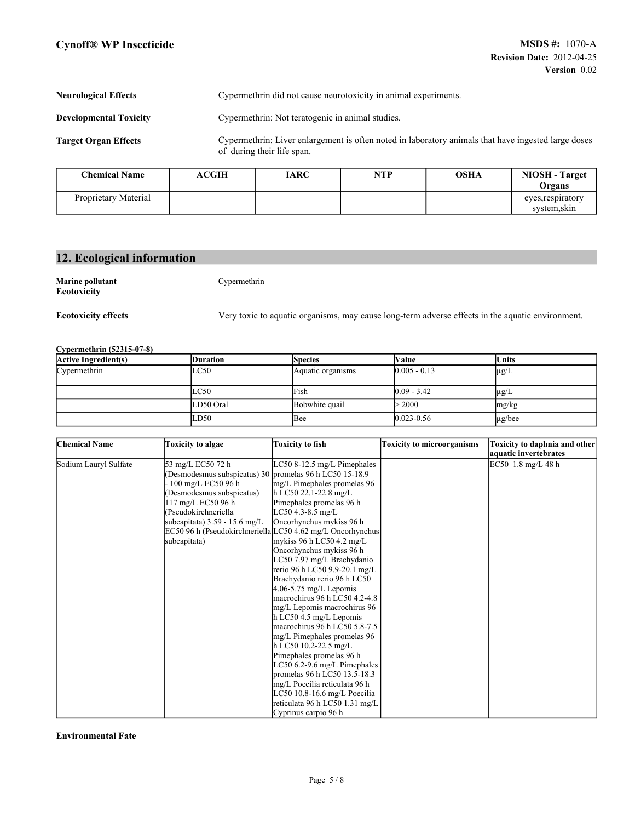#### **Neurological Effects** Cypermethrin did not cause neurotoxicity in animal experiments.

**Developmental Toxicity** Cypermethrin: Not teratogenic in animal studies.

**Target Organ Effects**

Cypermethrin: Liver enlargement is often noted in laboratory animals that have ingested large doses of during their life span.

| <b>Chemical Name</b> | ACGIH | IARC | NTP | <b>OSHA</b> | <b>NIOSH</b> - Target<br>Organs   |
|----------------------|-------|------|-----|-------------|-----------------------------------|
| Proprietary Material |       |      |     |             | eyes, respiratory<br>system, skin |

# **12. Ecological information**

**Marine pollutant** Cypermethrin **Ecotoxicity**

**Ecotoxicity effects**

Very toxic to aquatic organisms, may cause long-term adverse effects in the aquatic environment.

### **Cypermethrin (52315-07-8)**

| <b>Active Ingredient(s)</b> | <b>Duration</b> | <b>Species</b>    | Value          | Units       |
|-----------------------------|-----------------|-------------------|----------------|-------------|
| Cypermethrin                | LC50            | Aquatic organisms | $0.005 - 0.13$ | $\mu$ g/L   |
|                             | LC50            | Fish              | $0.09 - 3.42$  | $\mu$ g/L   |
|                             | LD50 Oral       | Bobwhite quail    | > 2000         | mg/kg       |
|                             | LD50            | Bee               | $0.023 - 0.56$ | $\mu$ g/bee |

| <b>Chemical Name</b>  | <b>Toxicity to algae</b>                                                                                                                                                                                                         | <b>Toxicity to fish</b>                                                                                                                                                                                                                                                                                                                                                                                                                                                                                                                                                                                                                                                                                                                                                                                                            | <b>Toxicity to microorganisms</b> | Toxicity to daphnia and other               |
|-----------------------|----------------------------------------------------------------------------------------------------------------------------------------------------------------------------------------------------------------------------------|------------------------------------------------------------------------------------------------------------------------------------------------------------------------------------------------------------------------------------------------------------------------------------------------------------------------------------------------------------------------------------------------------------------------------------------------------------------------------------------------------------------------------------------------------------------------------------------------------------------------------------------------------------------------------------------------------------------------------------------------------------------------------------------------------------------------------------|-----------------------------------|---------------------------------------------|
| Sodium Lauryl Sulfate | 53 mg/L EC50 72 h<br>(Desmodesmus subspicatus) 30 promelas 96 h LC50 15-18.9<br>100 mg/L EC50 96 h<br>(Desmodesmus subspicatus)<br>117 mg/L EC50 96 h<br>(Pseudokirchneriella<br>subcapitata) $3.59 - 15.6$ mg/L<br>subcapitata) | LC50 8-12.5 mg/L Pimephales<br>mg/L Pimephales promelas 96<br>$h$ LC50 22.1-22.8 mg/L<br>Pimephales promelas 96 h<br>$LC50$ 4.3-8.5 mg/L<br>Oncorhynchus mykiss 96 h<br>EC50 96 h (Pseudokirchneriella LC50 4.62 mg/L Oncorhynchus<br>mykiss 96 h LC50 4.2 mg/L<br>Oncorhynchus mykiss 96 h<br>LC50 7.97 mg/L Brachydanio<br>rerio 96 h LC50 9.9-20.1 mg/L<br>Brachydanio rerio 96 h LC50<br>$4.06 - 5.75$ mg/L Lepomis<br>macrochirus 96 h LC50 4.2-4.8<br>mg/L Lepomis macrochirus 96<br>h LC50 4.5 mg/L Lepomis<br>macrochirus 96 h LC50 5.8-7.5<br>mg/L Pimephales promelas 96<br>h LC50 10.2-22.5 mg/L<br>Pimephales promelas 96 h<br>LC50 6.2-9.6 mg/L Pimephales<br>promelas 96 h LC50 13.5-18.3<br>mg/L Poecilia reticulata 96 h<br>LC50 10.8-16.6 mg/L Poecilia<br>reticulata 96 h LC50 1.31 mg/L<br>Cyprinus carpio 96 h |                                   | aquatic invertebrates<br>EC50 1.8 mg/L 48 h |

**Environmental Fate**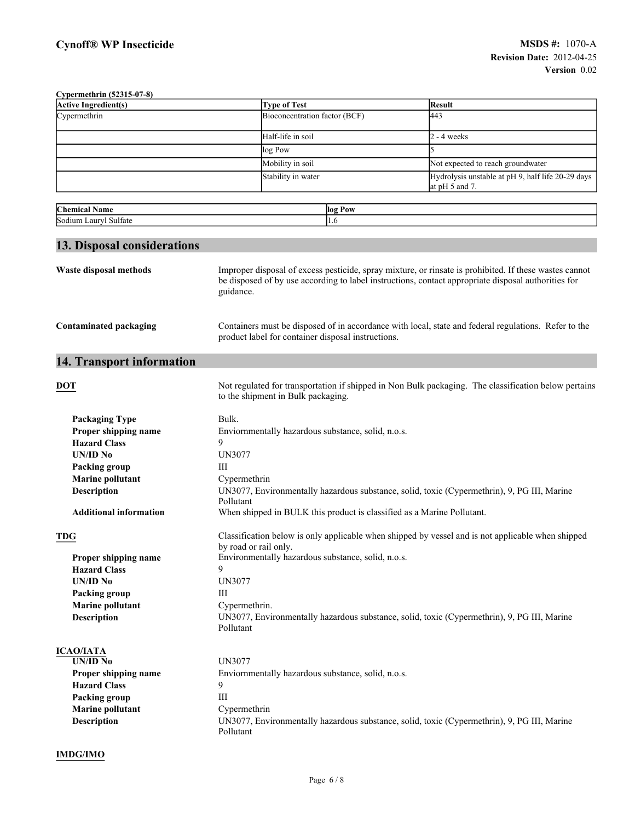| Cypermethrin (52315-07-8)              |                                                                                                                                            |                                                                                                                                                                                                               |  |  |
|----------------------------------------|--------------------------------------------------------------------------------------------------------------------------------------------|---------------------------------------------------------------------------------------------------------------------------------------------------------------------------------------------------------------|--|--|
| <b>Active Ingredient(s)</b>            | <b>Type of Test</b>                                                                                                                        | <b>Result</b>                                                                                                                                                                                                 |  |  |
| Cypermethrin                           | Bioconcentration factor (BCF)                                                                                                              | 443                                                                                                                                                                                                           |  |  |
|                                        | Half-life in soil                                                                                                                          | $2 - 4$ weeks                                                                                                                                                                                                 |  |  |
|                                        | log Pow                                                                                                                                    |                                                                                                                                                                                                               |  |  |
|                                        | Mobility in soil                                                                                                                           | Not expected to reach groundwater                                                                                                                                                                             |  |  |
|                                        | Stability in water                                                                                                                         | Hydrolysis unstable at pH 9, half life 20-29 days                                                                                                                                                             |  |  |
|                                        |                                                                                                                                            | at $pH$ 5 and 7.                                                                                                                                                                                              |  |  |
| <b>Chemical Name</b>                   | log Pow                                                                                                                                    |                                                                                                                                                                                                               |  |  |
| Sodium Lauryl Sulfate                  | 1.6                                                                                                                                        |                                                                                                                                                                                                               |  |  |
|                                        |                                                                                                                                            |                                                                                                                                                                                                               |  |  |
| 13. Disposal considerations            |                                                                                                                                            |                                                                                                                                                                                                               |  |  |
| Waste disposal methods                 | guidance.                                                                                                                                  | Improper disposal of excess pesticide, spray mixture, or rinsate is prohibited. If these wastes cannot<br>be disposed of by use according to label instructions, contact appropriate disposal authorities for |  |  |
| <b>Contaminated packaging</b>          | product label for container disposal instructions.                                                                                         | Containers must be disposed of in accordance with local, state and federal regulations. Refer to the                                                                                                          |  |  |
| 14. Transport information              |                                                                                                                                            |                                                                                                                                                                                                               |  |  |
| <b>DOT</b>                             | Not regulated for transportation if shipped in Non Bulk packaging. The classification below pertains<br>to the shipment in Bulk packaging. |                                                                                                                                                                                                               |  |  |
| <b>Packaging Type</b>                  | Bulk.                                                                                                                                      |                                                                                                                                                                                                               |  |  |
| Proper shipping name                   |                                                                                                                                            | Enviornmentally hazardous substance, solid, n.o.s.                                                                                                                                                            |  |  |
| <b>Hazard Class</b>                    | 9                                                                                                                                          |                                                                                                                                                                                                               |  |  |
| UN/ID No                               | <b>UN3077</b>                                                                                                                              |                                                                                                                                                                                                               |  |  |
| Packing group                          | Ш                                                                                                                                          |                                                                                                                                                                                                               |  |  |
| <b>Marine pollutant</b>                | Cypermethrin                                                                                                                               |                                                                                                                                                                                                               |  |  |
| Description                            | Pollutant                                                                                                                                  | UN3077, Environmentally hazardous substance, solid, toxic (Cypermethrin), 9, PG III, Marine                                                                                                                   |  |  |
| <b>Additional information</b>          | When shipped in BULK this product is classified as a Marine Pollutant.                                                                     |                                                                                                                                                                                                               |  |  |
| <b>TDG</b>                             | Classification below is only applicable when shipped by vessel and is not applicable when shipped<br>by road or rail only.                 |                                                                                                                                                                                                               |  |  |
| Proper shipping name                   | Environmentally hazardous substance, solid, n.o.s.                                                                                         |                                                                                                                                                                                                               |  |  |
| <b>Hazard Class</b>                    | 9                                                                                                                                          |                                                                                                                                                                                                               |  |  |
| UN/ID No                               |                                                                                                                                            | <b>UN3077</b>                                                                                                                                                                                                 |  |  |
| Packing group                          |                                                                                                                                            | Ш                                                                                                                                                                                                             |  |  |
| <b>Marine pollutant</b><br>Description | Cypermethrin.<br>UN3077, Environmentally hazardous substance, solid, toxic (Cypermethrin), 9, PG III, Marine<br>Pollutant                  |                                                                                                                                                                                                               |  |  |
| <b>ICAO/IATA</b>                       |                                                                                                                                            |                                                                                                                                                                                                               |  |  |
| <b>UN/ID No</b>                        | <b>UN3077</b>                                                                                                                              |                                                                                                                                                                                                               |  |  |
| Proper shipping name                   | Enviornmentally hazardous substance, solid, n.o.s.                                                                                         |                                                                                                                                                                                                               |  |  |
| <b>Hazard Class</b>                    | 9                                                                                                                                          |                                                                                                                                                                                                               |  |  |
| Packing group                          | Ш                                                                                                                                          |                                                                                                                                                                                                               |  |  |
| <b>Marine pollutant</b>                | Cypermethrin                                                                                                                               |                                                                                                                                                                                                               |  |  |
| Description                            | UN3077, Environmentally hazardous substance, solid, toxic (Cypermethrin), 9, PG III, Marine<br>Pollutant                                   |                                                                                                                                                                                                               |  |  |
| <b>IMDG/IMO</b>                        |                                                                                                                                            |                                                                                                                                                                                                               |  |  |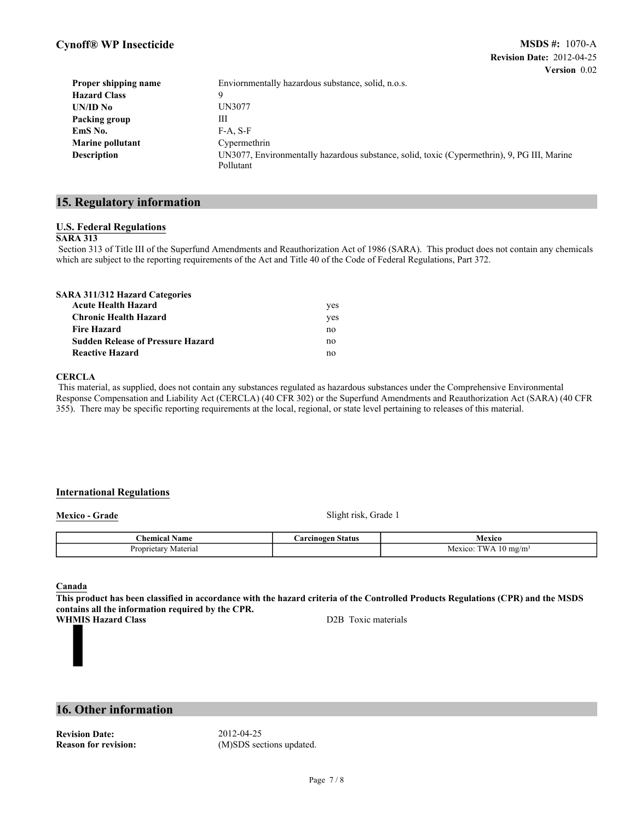| Proper shipping name    | Enviornmentally hazardous substance, solid, n.o.s.                                                       |  |
|-------------------------|----------------------------------------------------------------------------------------------------------|--|
| <b>Hazard Class</b>     | Q                                                                                                        |  |
| UN/ID No                | <b>UN3077</b>                                                                                            |  |
| Packing group           | Ш                                                                                                        |  |
| EmS No.                 | $F-A. S-F$                                                                                               |  |
| <b>Marine pollutant</b> | Cypermethrin                                                                                             |  |
| Description             | UN3077, Environmentally hazardous substance, solid, toxic (Cypermethrin), 9, PG III, Marine<br>Pollutant |  |

## **15. Regulatory information**

### **U.S. Federal Regulations**

#### **SARA 313**

Section 313 of Title III of the Superfund Amendments and Reauthorization Act of 1986 (SARA). This product does not contain any chemicals which are subject to the reporting requirements of the Act and Title 40 of the Code of Federal Regulations, Part 372.

| <b>SARA 311/312 Hazard Categories</b>    |     |
|------------------------------------------|-----|
| <b>Acute Health Hazard</b>               | yes |
| <b>Chronic Health Hazard</b>             | yes |
| <b>Fire Hazard</b>                       | no  |
| <b>Sudden Release of Pressure Hazard</b> | no  |
| <b>Reactive Hazard</b>                   | no  |

#### **CERCLA**

This material, as supplied, does not contain any substances regulated as hazardous substances under the Comprehensive Environmental Response Compensation and Liability Act (CERCLA) (40 CFR 302) or the Superfund Amendments and Reauthorization Act (SARA) (40 CFR 355). There may be specific reporting requirements at the local, regional, or state level pertaining to releases of this material.

### **International Regulations**

**Mexico - Grade** Slight risk, Grade 1

| :hemical<br>vame       | `o re<br>Status<br>$\epsilon$ inoge $\epsilon$ | lexico         |
|------------------------|------------------------------------------------|----------------|
| Proprietar<br>Materiai |                                                | mg/m<br>Mexico |

**Canada**

**This product has been classified in accordance with the hazard criteria of the Controlled Products Regulations (CPR) and the MSDS contains all the information required by the CPR.**

**WHMIS Hazard Class** D2B Toxic materials

## **16. Other information**

**Revision Date:** 2012-04-25

**Reason for revision:** (M)SDS sections updated.